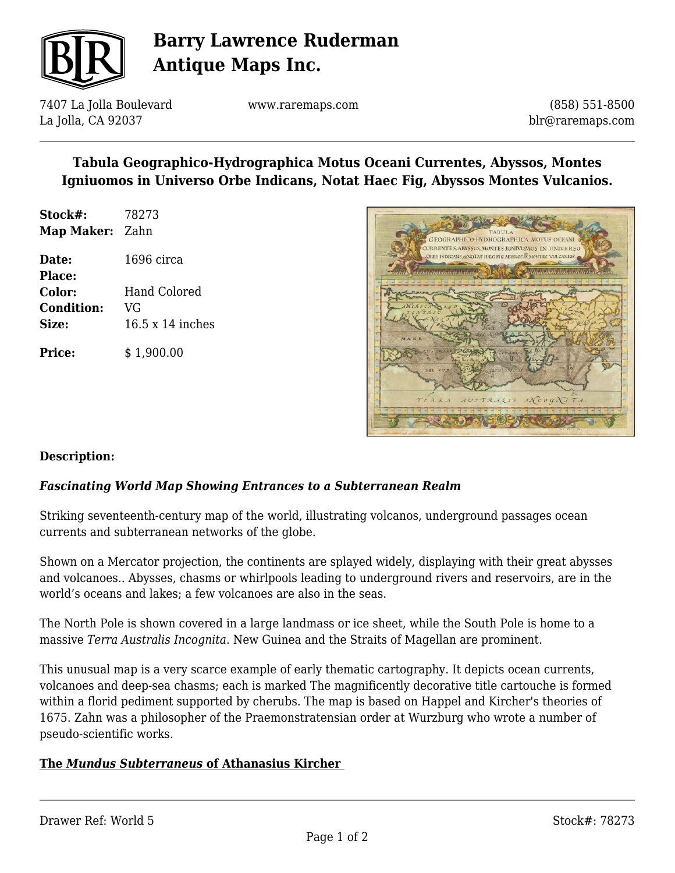

## **Barry Lawrence Ruderman Antique Maps Inc.**

7407 La Jolla Boulevard La Jolla, CA 92037

www.raremaps.com

(858) 551-8500 blr@raremaps.com

## **Tabula Geographico-Hydrographica Motus Oceani Currentes, Abyssos, Montes Igniuomos in Universo Orbe Indicans, Notat Haec Fig, Abyssos Montes Vulcanios.**

- **Stock#:** 78273 **Map Maker:** Zahn **Date:** 1696 circa
- **Place: Color:** Hand Colored **Condition:** VG **Size:** 16.5 x 14 inches

**Price:**  $$ 1,900.00$ 



#### **Description:**

## *Fascinating World Map Showing Entrances to a Subterranean Realm*

Striking seventeenth-century map of the world, illustrating volcanos, underground passages ocean currents and subterranean networks of the globe.

Shown on a Mercator projection, the continents are splayed widely, displaying with their great abysses and volcanoes.. Abysses, chasms or whirlpools leading to underground rivers and reservoirs, are in the world's oceans and lakes; a few volcanoes are also in the seas.

The North Pole is shown covered in a large landmass or ice sheet, while the South Pole is home to a massive *Terra Australis Incognita*. New Guinea and the Straits of Magellan are prominent.

This unusual map is a very scarce example of early thematic cartography. It depicts ocean currents, volcanoes and deep-sea chasms; each is marked The magnificently decorative title cartouche is formed within a florid pediment supported by cherubs. The map is based on Happel and Kircher's theories of 1675. Zahn was a philosopher of the Praemonstratensian order at Wurzburg who wrote a number of pseudo-scientific works.

#### **The** *Mundus Subterraneus* **of Athanasius Kircher**